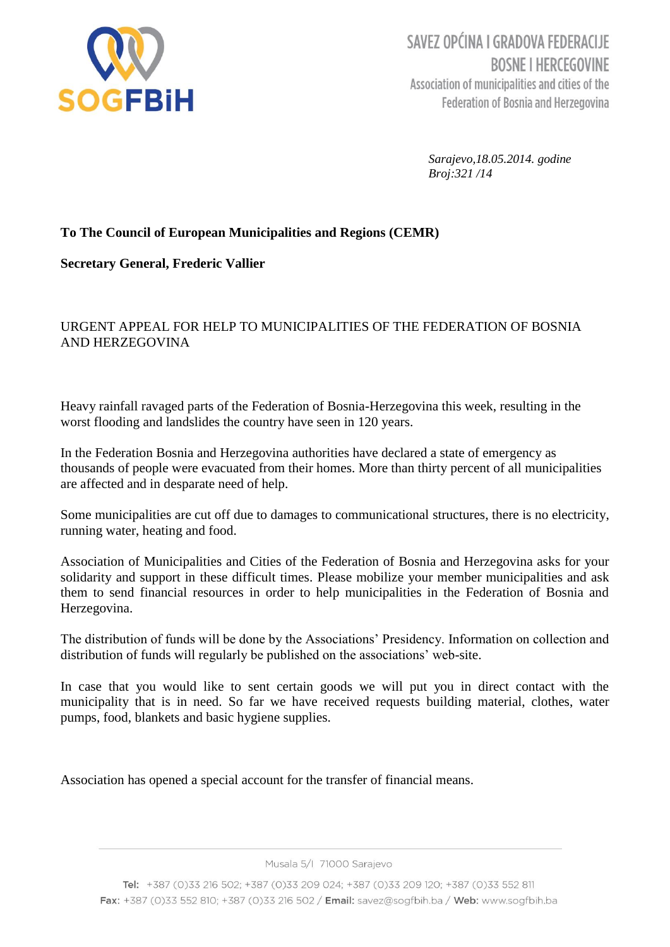

SAVEZ OPĆINA I GRADOVA FEDERACIJE **BOSNE I HERCEGOVINE** Association of municipalities and cities of the **Federation of Bosnia and Herzegovina** 

> *Sarajevo,18.05.2014. godine Broj:321 /14*

# **To The Council of European Municipalities and Regions (CEMR)**

## **Secretary General, Frederic Vallier**

# URGENT APPEAL FOR HELP TO MUNICIPALITIES OF THE FEDERATION OF BOSNIA AND HERZEGOVINA

Heavy rainfall ravaged parts of the Federation of Bosnia-Herzegovina this week, [resulting in the](http://www.reuters.com/article/2014/05/15/us-balkans-flood-idUSBREA4E0AX20140515)  [worst flooding](http://www.reuters.com/article/2014/05/15/us-balkans-flood-idUSBREA4E0AX20140515) and landslides the country have seen in 120 years.

In the Federation Bosnia and Herzegovina authorities have declared a state of emergency as thousands of people were evacuated from their homes. More than thirty percent of all municipalities are affected and in desparate need of help.

Some municipalities are cut off due to damages to communicational structures, there is no electricity, running water, heating and food.

Association of Municipalities and Cities of the Federation of Bosnia and Herzegovina asks for your solidarity and support in these difficult times. Please mobilize your member municipalities and ask them to send financial resources in order to help municipalities in the Federation of Bosnia and Herzegovina.

The distribution of funds will be done by the Associations' Presidency. Information on collection and distribution of funds will regularly be published on the associations' web-site.

In case that you would like to sent certain goods we will put you in direct contact with the municipality that is in need. So far we have received requests building material, clothes, water pumps, food, blankets and basic hygiene supplies.

Association has opened a special account for the transfer of financial means.

Musala 5/I 71000 Sarajevo